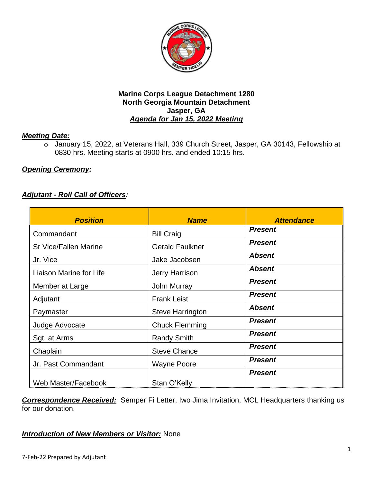

# *Meeting Date:*

o January 15, 2022, at Veterans Hall, 339 Church Street, Jasper, GA 30143, Fellowship at 0830 hrs. Meeting starts at 0900 hrs. and ended 10:15 hrs.

# *Opening Ceremony:*

# *Adjutant - Roll Call of Officers:*

| <b>Position</b>              | <b>Name</b>             | <b>Attendance</b> |
|------------------------------|-------------------------|-------------------|
| Commandant                   | <b>Bill Craig</b>       | <b>Present</b>    |
| <b>Sr Vice/Fallen Marine</b> | <b>Gerald Faulkner</b>  | <b>Present</b>    |
| Jr. Vice                     | Jake Jacobsen           | <b>Absent</b>     |
| Liaison Marine for Life      | Jerry Harrison          | <b>Absent</b>     |
| Member at Large              | <b>John Murray</b>      | <b>Present</b>    |
| Adjutant                     | <b>Frank Leist</b>      | <b>Present</b>    |
| Paymaster                    | <b>Steve Harrington</b> | <b>Absent</b>     |
| Judge Advocate               | <b>Chuck Flemming</b>   | <b>Present</b>    |
| Sgt. at Arms                 | <b>Randy Smith</b>      | <b>Present</b>    |
| Chaplain                     | <b>Steve Chance</b>     | <b>Present</b>    |
| Jr. Past Commandant          | <b>Wayne Poore</b>      | <b>Present</b>    |
| Web Master/Facebook          | Stan O'Kelly            | <b>Present</b>    |

*Correspondence Received:* Semper Fi Letter, Iwo Jima Invitation, MCL Headquarters thanking us for our donation.

# *Introduction of New Members or Visitor:* None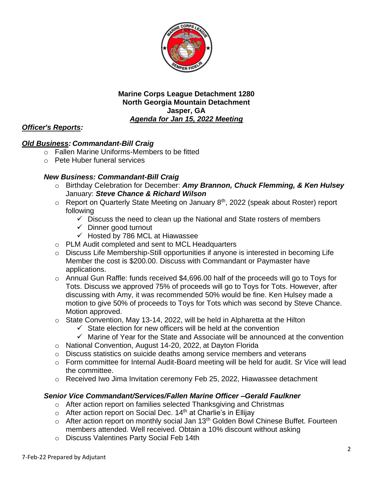

# *Officer's Reports:*

# *Old Business: Commandant-Bill Craig*

- $\circ$  Fallen Marine Uniforms-Members to be fitted
- o Pete Huber funeral services

# *New Business: Commandant-Bill Craig*

- o Birthday Celebration for December: *Amy Brannon, Chuck Flemming, & Ken Hulsey* January: *Steve Chance & Richard Wilson*
- $\circ$  Report on Quarterly State Meeting on January 8<sup>th</sup>, 2022 (speak about Roster) report following
	- $\checkmark$  Discuss the need to clean up the National and State rosters of members
	- ✓ Dinner good turnout
	- $\checkmark$  Hosted by 786 MCL at Hiawassee
- o PLM Audit completed and sent to MCL Headquarters
- o Discuss Life Membership-Still opportunities if anyone is interested in becoming Life Member the cost is \$200.00. Discuss with Commandant or Paymaster have applications.
- o Annual Gun Raffle: funds received \$4,696.00 half of the proceeds will go to Toys for Tots. Discuss we approved 75% of proceeds will go to Toys for Tots. However, after discussing with Amy, it was recommended 50% would be fine. Ken Hulsey made a motion to give 50% of proceeds to Toys for Tots which was second by Steve Chance. Motion approved.
- o State Convention, May 13-14, 2022, will be held in Alpharetta at the Hilton
	- $\checkmark$  State election for new officers will be held at the convention
	- $\checkmark$  Marine of Year for the State and Associate will be announced at the convention
- o National Convention, August 14-20, 2022, at Dayton Florida
- o Discuss statistics on suicide deaths among service members and veterans
- o Form committee for Internal Audit-Board meeting will be held for audit. Sr Vice will lead the committee.
- o Received Iwo Jima Invitation ceremony Feb 25, 2022, Hiawassee detachment

#### *Senior Vice Commandant/Services/Fallen Marine Officer –Gerald Faulkner*

- o After action report on families selected Thanksgiving and Christmas
- $\circ$  After action report on Social Dec. 14<sup>th</sup> at Charlie's in Ellijay
- o After action report on monthly social Jan 13<sup>th</sup> Golden Bowl Chinese Buffet. Fourteen members attended. Well received. Obtain a 10% discount without asking
- o Discuss Valentines Party Social Feb 14th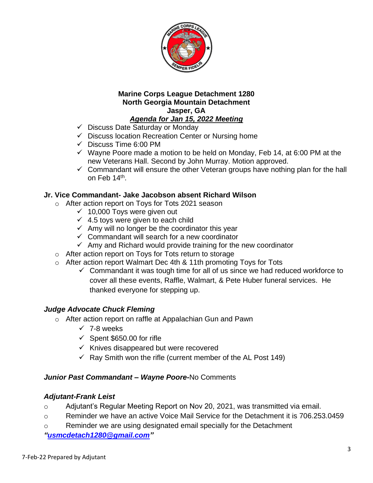

- ✓ Discuss Date Saturday or Monday
- ✓ Discuss location Recreation Center or Nursing home
- $\checkmark$  Discuss Time 6:00 PM
- $\checkmark$  Wayne Poore made a motion to be held on Monday, Feb 14, at 6:00 PM at the new Veterans Hall. Second by John Murray. Motion approved.
- ✓ Commandant will ensure the other Veteran groups have nothing plan for the hall on Feb 14<sup>th</sup>.

### **Jr. Vice Commandant- Jake Jacobson absent Richard Wilson**

- o After action report on Toys for Tots 2021 season
	- $\times$  10,000 Toys were given out
	- $\checkmark$  4.5 toys were given to each child
	- $\checkmark$  Amy will no longer be the coordinator this year
	- $\checkmark$  Commandant will search for a new coordinator
	- $\checkmark$  Amy and Richard would provide training for the new coordinator
- o After action report on Toys for Tots return to storage
- o After action report Walmart Dec 4th & 11th promoting Toys for Tots
	- ✓ Commandant it was tough time for all of us since we had reduced workforce to cover all these events, Raffle, Walmart, & Pete Huber funeral services. He thanked everyone for stepping up.

# *Judge Advocate Chuck Fleming*

- o After action report on raffle at Appalachian Gun and Pawn
	- $\times$  7-8 weeks
	- $\checkmark$  Spent \$650.00 for rifle
	- $\checkmark$  Knives disappeared but were recovered
	- $\checkmark$  Ray Smith won the rifle (current member of the AL Post 149)

#### *Junior Past Commandant – Wayne Poore-*No Comments

#### *Adjutant-Frank Leist*

- o Adjutant's Regular Meeting Report on Nov 20, 2021, was transmitted via email.
- o Reminder we have an active Voice Mail Service for the Detachment it is 706.253.0459
- o Reminder we are using designated email specially for the Detachment

*["usmcdetach1280@gmail.com"](file:///C:/Users/Frank/Documents/USMC%20Det%20Jasper/Minutes/usmcdetach1280@gmail.com)*